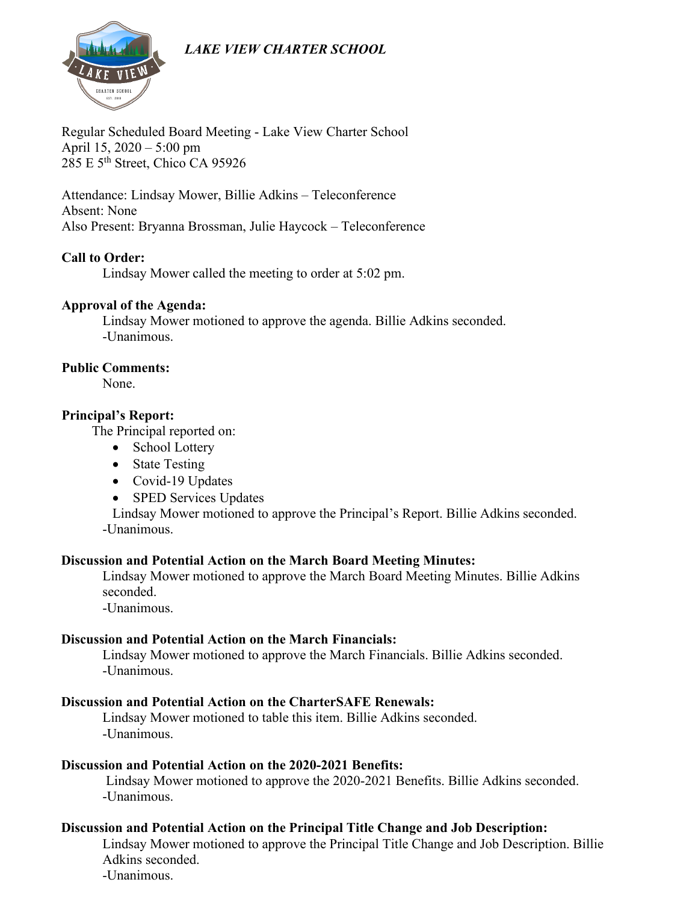

Regular Scheduled Board Meeting - Lake View Charter School April 15, 2020 – 5:00 pm  $285$  E  $5<sup>th</sup>$  Street, Chico CA 95926

Attendance: Lindsay Mower, Billie Adkins – Teleconference Absent: None Also Present: Bryanna Brossman, Julie Haycock – Teleconference

# **Call to Order:**

Lindsay Mower called the meeting to order at 5:02 pm.

# **Approval of the Agenda:**

Lindsay Mower motioned to approve the agenda. Billie Adkins seconded. -Unanimous.

# **Public Comments:**

None.

# **Principal's Report:**

The Principal reported on:

- School Lottery
- State Testing
- Covid-19 Updates
- SPED Services Updates

Lindsay Mower motioned to approve the Principal's Report. Billie Adkins seconded. -Unanimous.

# **Discussion and Potential Action on the March Board Meeting Minutes:**

Lindsay Mower motioned to approve the March Board Meeting Minutes. Billie Adkins seconded.

-Unanimous.

# **Discussion and Potential Action on the March Financials:**

Lindsay Mower motioned to approve the March Financials. Billie Adkins seconded. -Unanimous.

# **Discussion and Potential Action on the CharterSAFE Renewals:**

Lindsay Mower motioned to table this item. Billie Adkins seconded. -Unanimous.

# **Discussion and Potential Action on the 2020-2021 Benefits:**

Lindsay Mower motioned to approve the 2020-2021 Benefits. Billie Adkins seconded. -Unanimous.

# **Discussion and Potential Action on the Principal Title Change and Job Description:**

Lindsay Mower motioned to approve the Principal Title Change and Job Description. Billie Adkins seconded.

-Unanimous.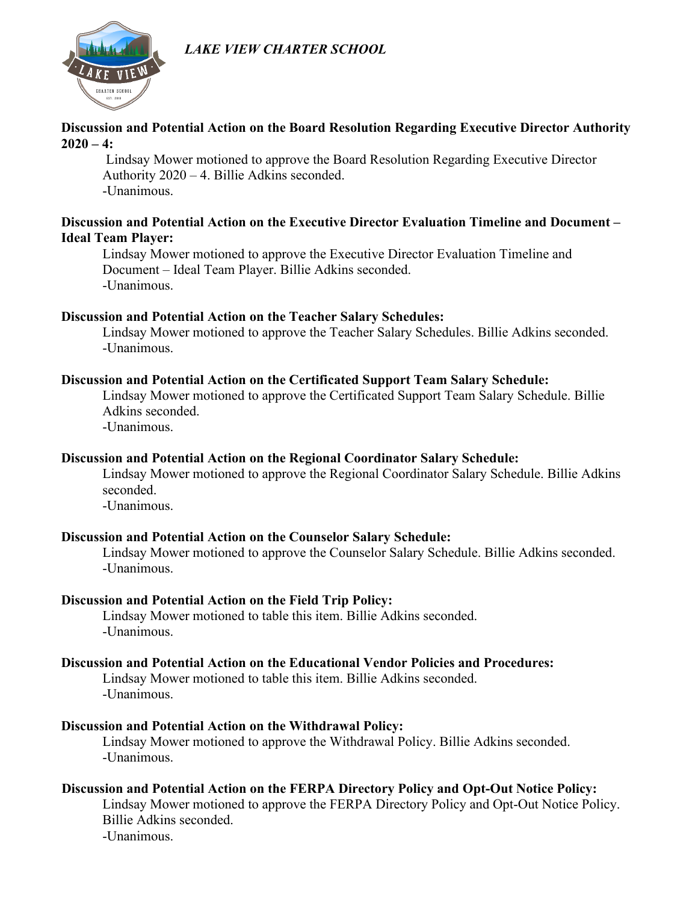

#### **Discussion and Potential Action on the Board Resolution Regarding Executive Director Authority 2020 – 4:**

Lindsay Mower motioned to approve the Board Resolution Regarding Executive Director Authority 2020 – 4. Billie Adkins seconded. -Unanimous.

# **Discussion and Potential Action on the Executive Director Evaluation Timeline and Document – Ideal Team Player:**

Lindsay Mower motioned to approve the Executive Director Evaluation Timeline and Document – Ideal Team Player. Billie Adkins seconded. -Unanimous.

#### **Discussion and Potential Action on the Teacher Salary Schedules:**

Lindsay Mower motioned to approve the Teacher Salary Schedules. Billie Adkins seconded. -Unanimous.

#### **Discussion and Potential Action on the Certificated Support Team Salary Schedule:**

Lindsay Mower motioned to approve the Certificated Support Team Salary Schedule. Billie Adkins seconded.

-Unanimous.

#### **Discussion and Potential Action on the Regional Coordinator Salary Schedule:**

Lindsay Mower motioned to approve the Regional Coordinator Salary Schedule. Billie Adkins seconded.

-Unanimous.

#### **Discussion and Potential Action on the Counselor Salary Schedule:**

Lindsay Mower motioned to approve the Counselor Salary Schedule. Billie Adkins seconded. -Unanimous.

#### **Discussion and Potential Action on the Field Trip Policy:**

Lindsay Mower motioned to table this item. Billie Adkins seconded. -Unanimous.

# **Discussion and Potential Action on the Educational Vendor Policies and Procedures:**

Lindsay Mower motioned to table this item. Billie Adkins seconded. -Unanimous.

# **Discussion and Potential Action on the Withdrawal Policy:**

Lindsay Mower motioned to approve the Withdrawal Policy. Billie Adkins seconded. -Unanimous.

# **Discussion and Potential Action on the FERPA Directory Policy and Opt-Out Notice Policy:**

Lindsay Mower motioned to approve the FERPA Directory Policy and Opt-Out Notice Policy. Billie Adkins seconded.

-Unanimous.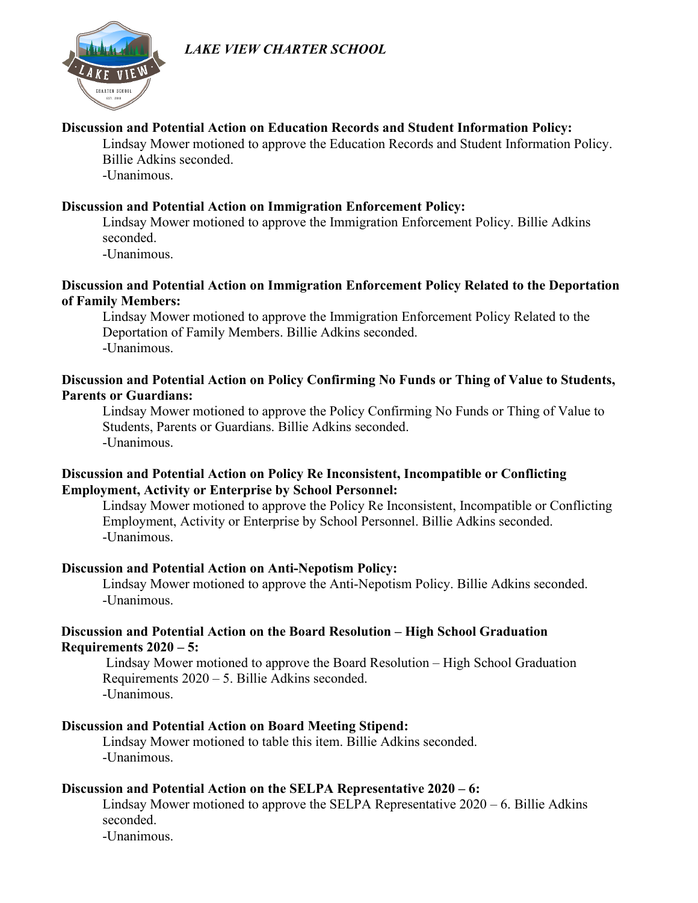

#### **Discussion and Potential Action on Education Records and Student Information Policy:**

Lindsay Mower motioned to approve the Education Records and Student Information Policy. Billie Adkins seconded.

-Unanimous.

#### **Discussion and Potential Action on Immigration Enforcement Policy:**

Lindsay Mower motioned to approve the Immigration Enforcement Policy. Billie Adkins seconded.

-Unanimous.

#### **Discussion and Potential Action on Immigration Enforcement Policy Related to the Deportation of Family Members:**

Lindsay Mower motioned to approve the Immigration Enforcement Policy Related to the Deportation of Family Members. Billie Adkins seconded. -Unanimous.

#### **Discussion and Potential Action on Policy Confirming No Funds or Thing of Value to Students, Parents or Guardians:**

Lindsay Mower motioned to approve the Policy Confirming No Funds or Thing of Value to Students, Parents or Guardians. Billie Adkins seconded. -Unanimous.

# **Discussion and Potential Action on Policy Re Inconsistent, Incompatible or Conflicting Employment, Activity or Enterprise by School Personnel:**

Lindsay Mower motioned to approve the Policy Re Inconsistent, Incompatible or Conflicting Employment, Activity or Enterprise by School Personnel. Billie Adkins seconded. -Unanimous.

# **Discussion and Potential Action on Anti-Nepotism Policy:**

Lindsay Mower motioned to approve the Anti-Nepotism Policy. Billie Adkins seconded. -Unanimous.

# **Discussion and Potential Action on the Board Resolution – High School Graduation Requirements 2020 – 5:**

Lindsay Mower motioned to approve the Board Resolution – High School Graduation Requirements 2020 – 5. Billie Adkins seconded. -Unanimous.

# **Discussion and Potential Action on Board Meeting Stipend:**

Lindsay Mower motioned to table this item. Billie Adkins seconded. -Unanimous.

# **Discussion and Potential Action on the SELPA Representative 2020 – 6:**

Lindsay Mower motioned to approve the SELPA Representative 2020 – 6. Billie Adkins seconded.

-Unanimous.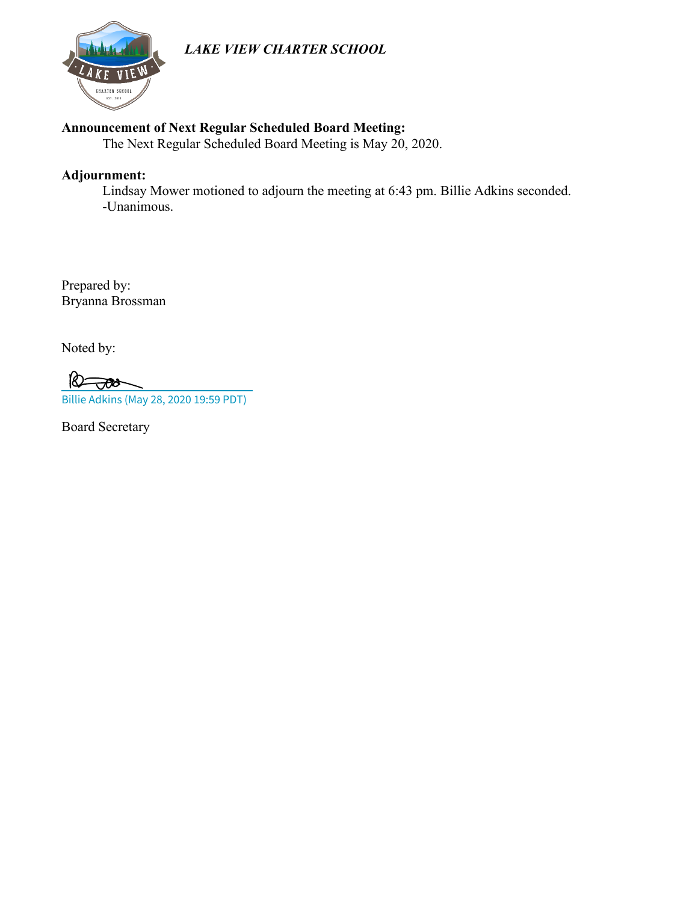

# **Announcement of Next Regular Scheduled Board Meeting:**

The Next Regular Scheduled Board Meeting is May 20, 2020.

# **Adjournment:**

Lindsay Mower motioned to adjourn the meeting at 6:43 pm. Billie Adkins seconded. -Unanimous.

Prepared by: Bryanna Brossman

Noted by:

R)= —ౌణి [Billie Adkins \(May 28, 2020 19:59 PDT\)](https://na2.documents.adobe.com/verifier?tx=CBJCHBCAABAAlmiYy1j2yfss-cKeMBAJ0OA6ULIlyCCT)

Board Secretary